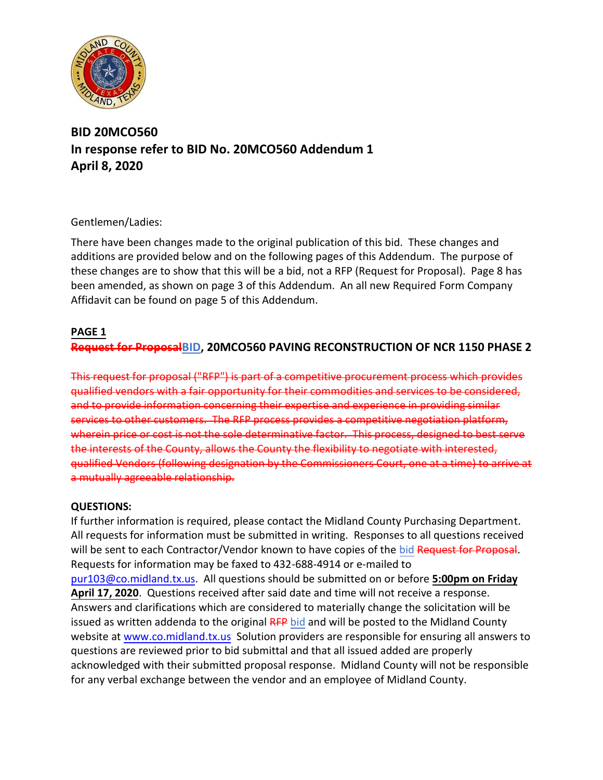

# **BID 20MCO560 In response refer to BID No. 20MCO560 Addendum 1 April 8, 2020**

# Gentlemen/Ladies:

There have been changes made to the original publication of this bid. These changes and additions are provided below and on the following pages of this Addendum. The purpose of these changes are to show that this will be a bid, not a RFP (Request for Proposal). Page 8 has been amended, as shown on page 3 of this Addendum. An all new Required Form Company Affidavit can be found on page 5 of this Addendum.

### **PAGE 1**

# **Request for ProposalBID, 20MCO560 PAVING RECONSTRUCTION OF NCR 1150 PHASE 2**

This request for proposal ("RFP") is part of a competitive procurement process which provides qualified vendors with a fair opportunity for their commodities and services to be considered, and to provide information concerning their expertise and experience in providing similar services to other customers. The RFP process provides a competitive negotiation platform, wherein price or cost is not the sole determinative factor. This process, designed to best serve the interests of the County, allows the County the flexibility to negotiate with interested, qualified Vendors (following designation by the Commissioners Court, one at a time) to arrive at a mutually agreeable relationship.

#### **QUESTIONS:**

If further information is required, please contact the Midland County Purchasing Department. All requests for information must be submitted in writing. Responses to all questions received will be sent to each Contractor/Vendor known to have copies of the bid Request for Proposal. Requests for information may be faxed to 432-688-4914 or e-mailed to [pur103@co.midland.tx.us.](mailto:pur103@co.midland.tx.us) All questions should be submitted on or before **5:00pm on Friday April 17, 2020**. Questions received after said date and time will not receive a response. Answers and clarifications which are considered to materially change the solicitation will be issued as written addenda to the original RFP bid and will be posted to the Midland County website at [www.co.midland.tx.us](http://www.co.midland.tx.us/) Solution providers are responsible for ensuring all answers to questions are reviewed prior to bid submittal and that all issued added are properly acknowledged with their submitted proposal response. Midland County will not be responsible for any verbal exchange between the vendor and an employee of Midland County.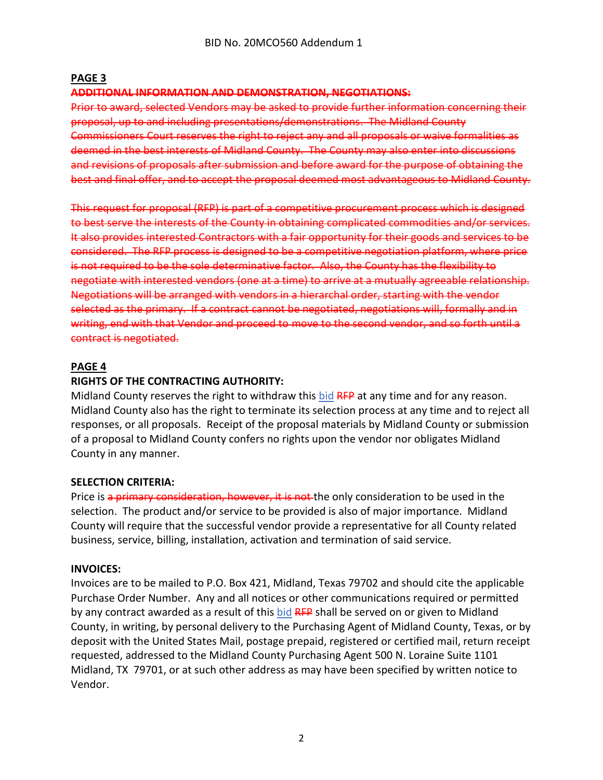#### **PAGE 3**

#### **ADDITIONAL INFORMATION AND DEMONSTRATION, NEGOTIATIONS:**

Prior to award, selected Vendors may be asked to provide further information concerning their proposal, up to and including presentations/demonstrations. The Midland County Commissioners Court reserves the right to reject any and all proposals or waive formalities as deemed in the best interests of Midland County. The County may also enter into discussions and revisions of proposals after submission and before award for the purpose of obtaining the best and final offer, and to accept the proposal deemed most advantageous to Midland County.

This request for proposal (RFP) is part of a competitive procurement process which is designed to best serve the interests of the County in obtaining complicated commodities and/or services. It also provides interested Contractors with a fair opportunity for their goods and services to be considered. The RFP process is designed to be a competitive negotiation platform, where price is not required to be the sole determinative factor. Also, the County has the flexibility to negotiate with interested vendors (one at a time) to arrive at a mutually agreeable relationship. Negotiations will be arranged with vendors in a hierarchal order, starting with the vendor selected as the primary. If a contract cannot be negotiated, negotiations will, formally and in writing, end with that Vendor and proceed to move to the second vendor, and so forth until a contract is negotiated.

### **PAGE 4**

# **RIGHTS OF THE CONTRACTING AUTHORITY:**

Midland County reserves the right to withdraw this bid RFP at any time and for any reason. Midland County also has the right to terminate its selection process at any time and to reject all responses, or all proposals. Receipt of the proposal materials by Midland County or submission of a proposal to Midland County confers no rights upon the vendor nor obligates Midland County in any manner.

#### **SELECTION CRITERIA:**

Price is a primary consideration, however, it is not the only consideration to be used in the selection. The product and/or service to be provided is also of major importance. Midland County will require that the successful vendor provide a representative for all County related business, service, billing, installation, activation and termination of said service.

#### **INVOICES:**

Invoices are to be mailed to P.O. Box 421, Midland, Texas 79702 and should cite the applicable Purchase Order Number. Any and all notices or other communications required or permitted by any contract awarded as a result of this bid RFP shall be served on or given to Midland County, in writing, by personal delivery to the Purchasing Agent of Midland County, Texas, or by deposit with the United States Mail, postage prepaid, registered or certified mail, return receipt requested, addressed to the Midland County Purchasing Agent 500 N. Loraine Suite 1101 Midland, TX 79701, or at such other address as may have been specified by written notice to Vendor.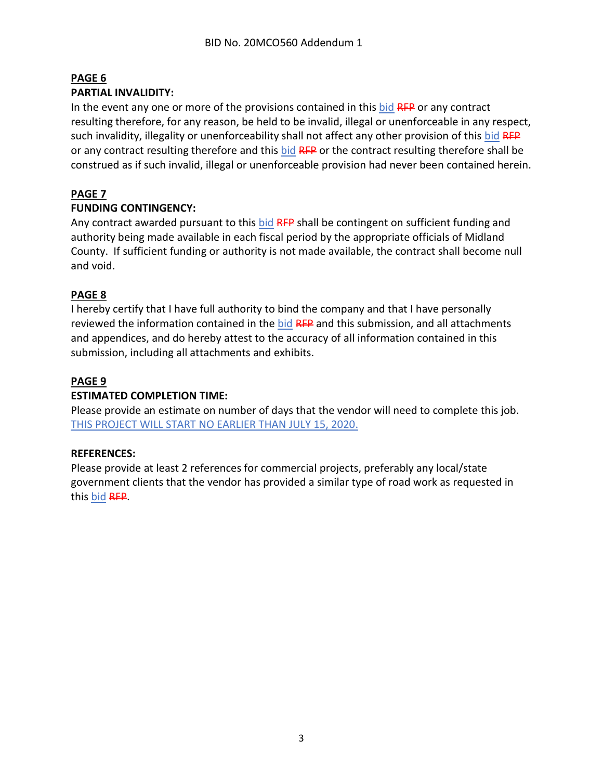# **PAGE 6**

### **PARTIAL INVALIDITY:**

In the event any one or more of the provisions contained in this bid RFP or any contract resulting therefore, for any reason, be held to be invalid, illegal or unenforceable in any respect, such invalidity, illegality or unenforceability shall not affect any other provision of this bid RFP or any contract resulting therefore and this bid RFP or the contract resulting therefore shall be construed as if such invalid, illegal or unenforceable provision had never been contained herein.

# **PAGE 7**

# **FUNDING CONTINGENCY:**

Any contract awarded pursuant to this bid RFP shall be contingent on sufficient funding and authority being made available in each fiscal period by the appropriate officials of Midland County. If sufficient funding or authority is not made available, the contract shall become null and void.

# **PAGE 8**

I hereby certify that I have full authority to bind the company and that I have personally reviewed the information contained in the bid RFP and this submission, and all attachments and appendices, and do hereby attest to the accuracy of all information contained in this submission, including all attachments and exhibits.

# **PAGE 9**

# **ESTIMATED COMPLETION TIME:**

Please provide an estimate on number of days that the vendor will need to complete this job. THIS PROJECT WILL START NO EARLIER THAN JULY 15, 2020.

# **REFERENCES:**

Please provide at least 2 references for commercial projects, preferably any local/state government clients that the vendor has provided a similar type of road work as requested in this bid RFP.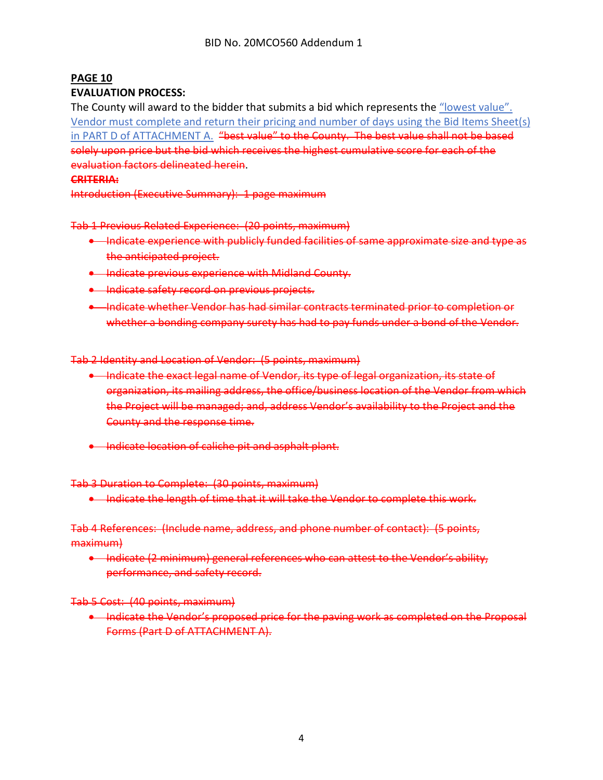### **PAGE 10**

#### **EVALUATION PROCESS:**

The County will award to the bidder that submits a bid which represents the "lowest value". Vendor must complete and return their pricing and number of days using the Bid Items Sheet(s) in PART D of ATTACHMENT A. "best value" to the County. The best value shall not be based solely upon price but the bid which receives the highest cumulative score for each of the evaluation factors delineated herein.

# **CRITERIA:**

Introduction (Executive Summary): 1 page maximum

#### Tab 1 Previous Related Experience: (20 points, maximum)

- Indicate experience with publicly funded facilities of same approximate size and type as the anticipated project.
- Indicate previous experience with Midland County.
- Indicate safety record on previous projects.
- Indicate whether Vendor has had similar contracts terminated prior to completion or whether a bonding company surety has had to pay funds under a bond of the Vendor.

#### Tab 2 Identity and Location of Vendor: (5 points, maximum)

- Indicate the exact legal name of Vendor, its type of legal organization, its state of organization, its mailing address, the office/business location of the Vendor from which the Project will be managed; and, address Vendor's availability to the Project and the County and the response time.
- Indicate location of caliche pit and asphalt plant.

#### Tab 3 Duration to Complete: (30 points, maximum)

• Indicate the length of time that it will take the Vendor to complete this work.

#### Tab 4 References: (Include name, address, and phone number of contact): (5 points, maximum)

• Indicate (2 minimum) general references who can attest to the Vendor's ability, performance, and safety record.

#### Tab 5 Cost: (40 points, maximum)

• Indicate the Vendor's proposed price for the paving work as completed on the Proposal Forms (Part D of ATTACHMENT A).